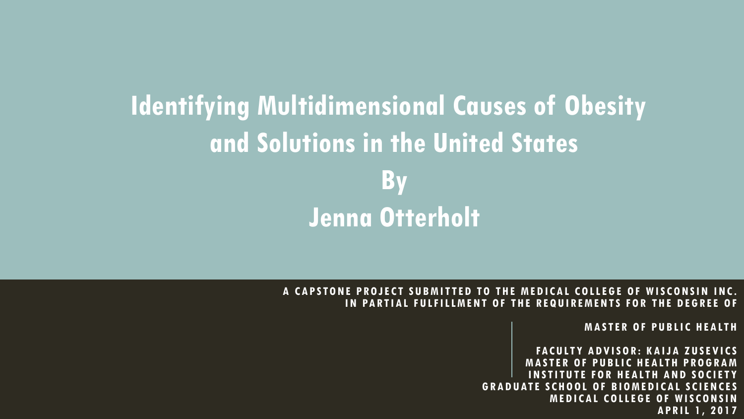### **Identifying Multidimensional Causes of Obesity and Solutions in the United States By Jenna Otterholt**

#### **A CAPSTONE PROJECT SUBMITTED TO THE MEDICAL COLLEGE OF WISCONSIN INC. IN PARTIAL FULFILLMENT OF THE REQUIREMENTS FOR THE DEGREE OF**

**MASTER OF PUBLIC HEALTH**

**FACULTY ADVISOR: KAIJA ZUSEVICS STER OF PUBLIC HEALTH PROGRAM STITUTE FOR HEALTH AND SOCIETY GRADUATE SCHOOL OF BIOMEDICAL SCIENCES MEDICAL COLLEGE OF WISCONSIN APRIL 1, 2017**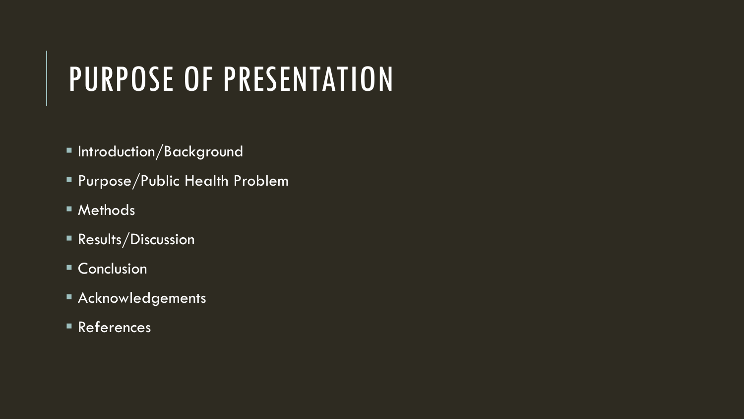## PURPOSE OF PRESENTATION

- **Introduction/Background**
- Purpose/Public Health Problem
- Methods
- **Results/Discussion**
- Conclusion
- **Acknowledgements**
- References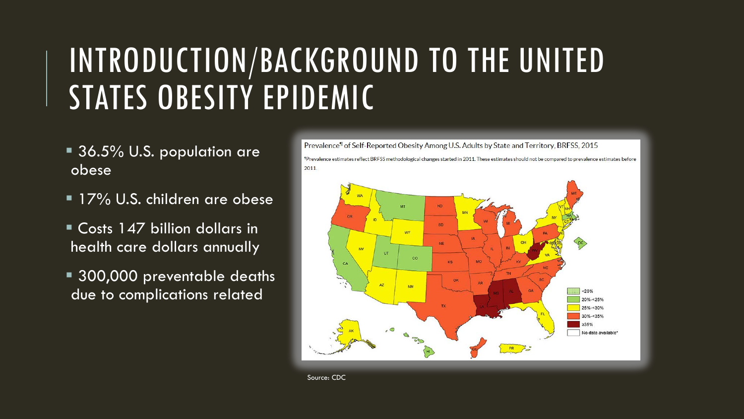## INTRODUCTION/BACKGROUND TO THE UNITED STATES OBESITY EPIDEMIC

- 36.5% U.S. population are obese
- **17% U.S. children are obese**
- Costs 147 billion dollars in health care dollars annually
- **300,000** preventable deaths due to complications related

Prevalence<sup>¶</sup> of Self-Reported Obesity Among U.S. Adults by State and Territory, BRFSS, 2015 "Prevalence estimates reflect BRFSS methodological changes started in 2011. These estimates should not be compared to prevalence estimates before 2011



Source: CDC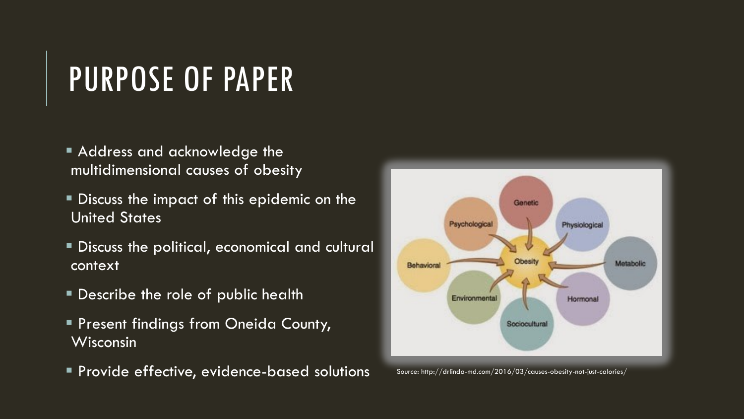## PURPOSE OF PAPER

- **Address and acknowledge the** multidimensional causes of obesity
- Discuss the impact of this epidemic on the United States
- Discuss the political, economical and cultural context
- **Describe the role of public health**
- **Present findings from Oneida County,** Wisconsin
- **Provide effective, evidence-based solutions** Source: http://drlinda-md.com/2016/03/causes-obesity-not-just-calories/

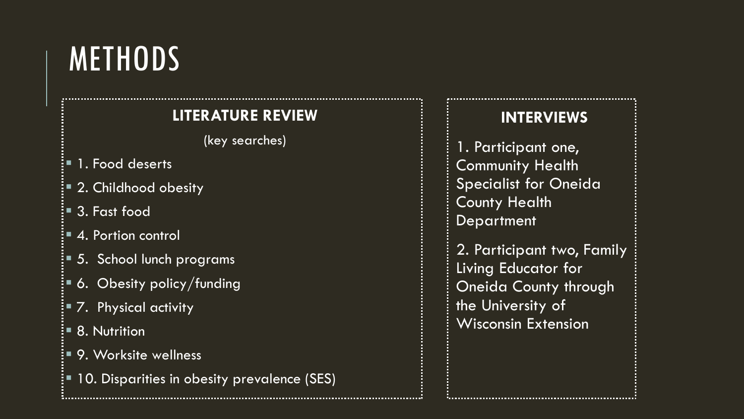## **METHODS**

#### **LITERATURE REVIEW**

(key searches)

- $\mathsf{I}$  = 1. Food deserts
- 2. Childhood obesity
- 3. Fast food
- 4. Portion control
- $\frac{1}{2}$  5. School lunch programs
- 6. Obesity policy/funding
- 7. Physical activity
- <sup>∶</sup>■ 8. Nutrition
- 9. Worksite wellness
- 10. Disparities in obesity prevalence (SES)

#### **INTERVIEWS**

- 1. Participant one, Community Health Specialist for Oneida **County Health Department**
- 2. Participant two, Family Living Educator for Oneida County through the University of Wisconsin Extension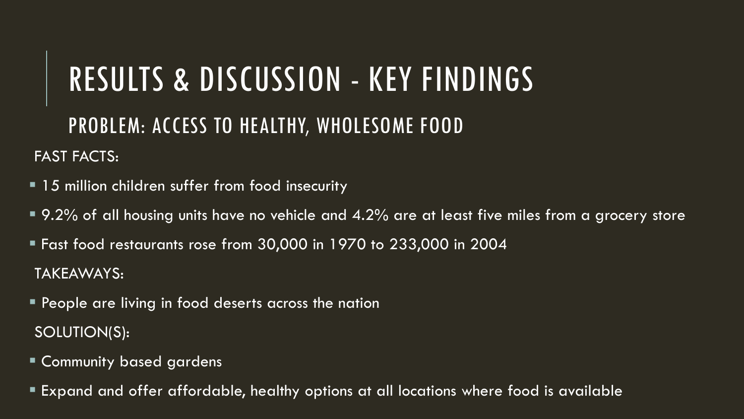## RESULTS & DISCUSSION - KEY FINDINGS PROBLEM: ACCESS TO HEALTHY, WHOLESOME FOOD

- **15 million children suffer from food insecurity**
- $\blacksquare$  9.2% of all housing units have no vehicle and 4.2% are at least five miles from a grocery store
- Fast food restaurants rose from 30,000 in 1970 to 233,000 in 2004 TAKEAWAYS:
- **People are living in food deserts across the nation** SOLUTION(S):
- Community based gardens
- Expand and offer affordable, healthy options at all locations where food is available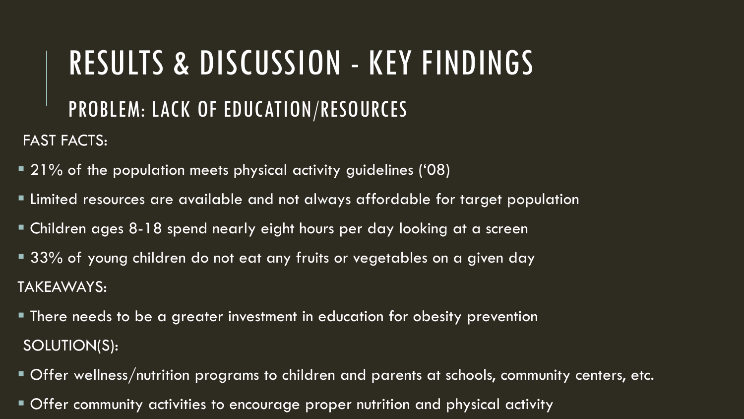### PROBLEM: LACK OF EDUCATION/RESOURCES

- 21% of the population meets physical activity guidelines ('08)
- Limited resources are available and not always affordable for target population
- Children ages 8-18 spend nearly eight hours per day looking at a screen
- 33% of young children do not eat any fruits or vegetables on a given day TAKEAWAYS:
- There needs to be a greater investment in education for obesity prevention SOLUTION(S):
- Offer wellness/nutrition programs to children and parents at schools, community centers, etc.
- Offer community activities to encourage proper nutrition and physical activity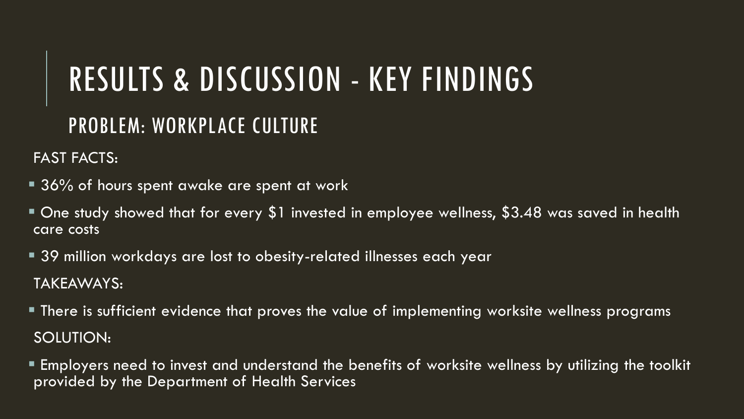#### PROBLEM: WORKPLACE CULTURE

- **36% of hours spent awake are spent at work**
- One study showed that for every \$1 invested in employee wellness, \$3.48 was saved in health care costs
- 39 million workdays are lost to obesity-related illnesses each year TAKEAWAYS:
- **There is sufficient evidence that proves the value of implementing worksite wellness programs** SOLUTION:
- Employers need to invest and understand the benefits of worksite wellness by utilizing the toolkit provided by the Department of Health Services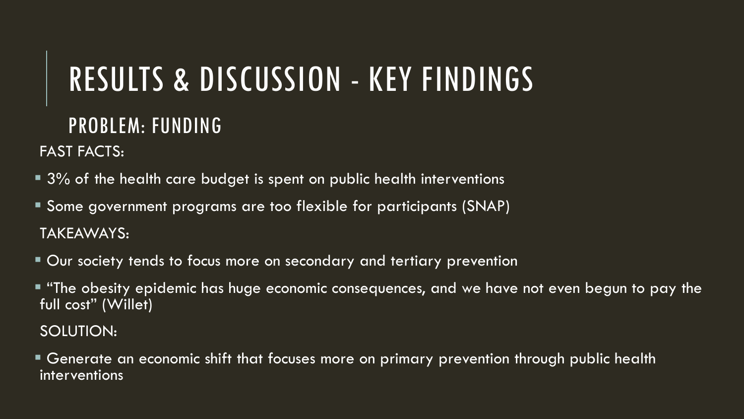#### PROBLEM: FUNDING

FAST FACTS:

- 3% of the health care budget is spent on public health interventions
- **Some government programs are too flexible for participants (SNAP)** TAKEAWAYS:
- **Our society tends to focus more on secondary and tertiary prevention**
- $\blacksquare$  "The obesity epidemic has huge economic consequences, and we have not even begun to pay the full cost" (Willet)

SOLUTION:

 Generate an economic shift that focuses more on primary prevention through public health interventions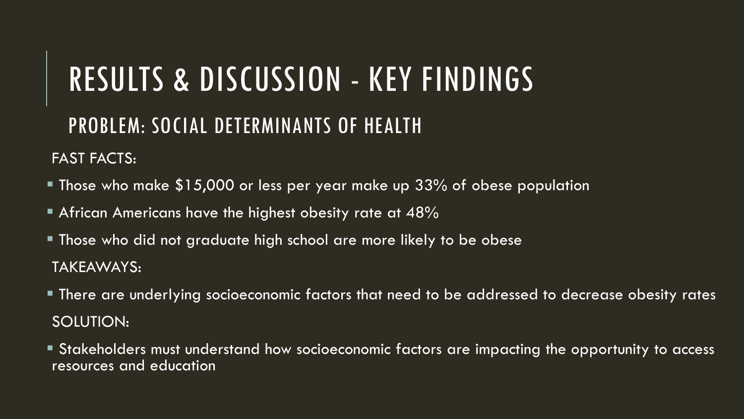#### PROBLEM: SOCIAL DETERMINANTS OF HEALTH

- Those who make \$15,000 or less per year make up 33% of obese population
- African Americans have the highest obesity rate at  $48\%$
- Those who did not graduate high school are more likely to be obese TAKEAWAYS:
- There are underlying socioeconomic factors that need to be addressed to decrease obesity rates SOLUTION:
- **Stakeholders must understand how socioeconomic factors are impacting the opportunity to access** resources and education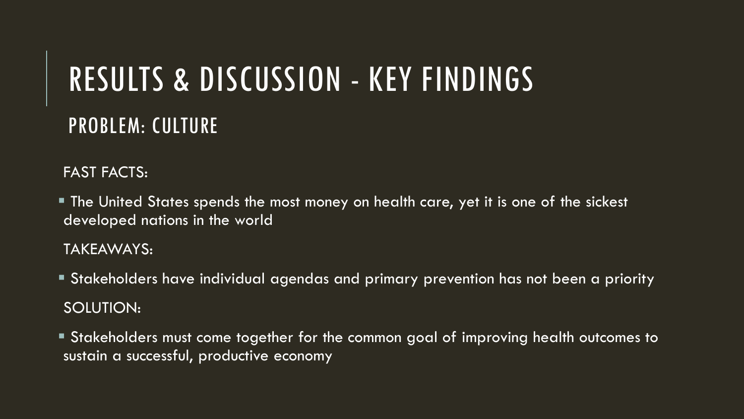## RESULTS & DISCUSSION - KEY FINDINGS PROBLEM: CULTURE

FAST FACTS:

 The United States spends the most money on health care, yet it is one of the sickest developed nations in the world

TAKEAWAYS:

- Stakeholders have individual agendas and primary prevention has not been a priority SOLUTION:
- Stakeholders must come together for the common goal of improving health outcomes to sustain a successful, productive economy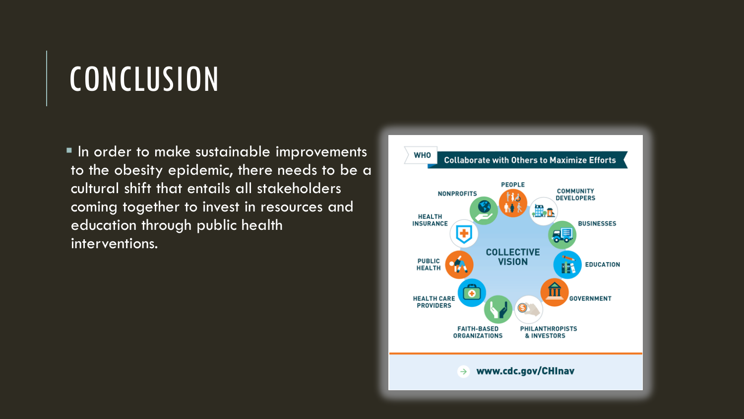## **CONCLUSION**

**In order to make sustainable improvements** to the obesity epidemic, there needs to be a cultural shift that entails all stakeholders coming together to invest in resources and education through public health interventions.

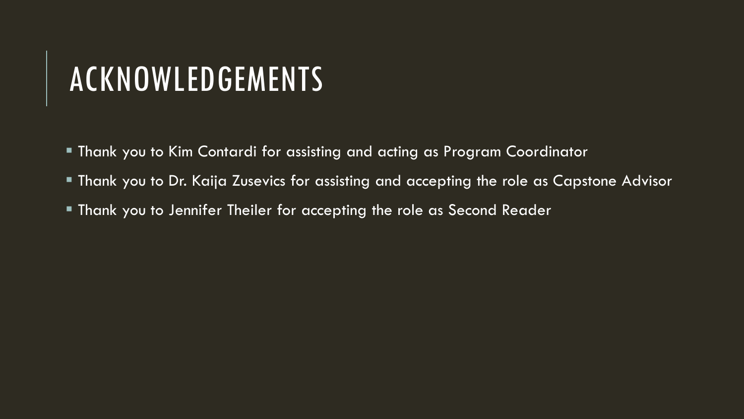## ACKNOWLEDGEMENTS

- Thank you to Kim Contardi for assisting and acting as Program Coordinator
- Thank you to Dr. Kaija Zusevics for assisting and accepting the role as Capstone Advisor
- **Thank you to Jennifer Theiler for accepting the role as Second Reader**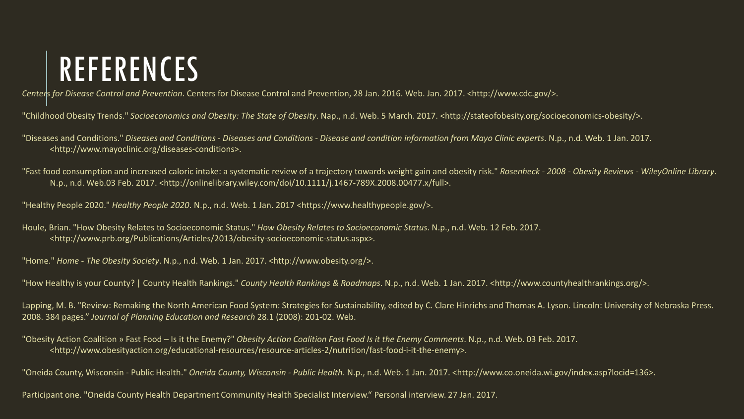## REFERENCES

*Centers for Disease Control and Prevention*. Centers for Disease Control and Prevention, 28 Jan. 2016. Web. Jan. 2017. <http://www.cdc.gov/>.

"Childhood Obesity Trends." *Socioeconomics and Obesity: The State of Obesity*. Nap., n.d. Web. 5 March. 2017. <http://stateofobesity.org/socioeconomics-obesity/>.

"Diseases and Conditions." *Diseases and Conditions - Diseases and Conditions - Disease and condition information from Mayo Clinic experts*. N.p., n.d. Web. 1 Jan. 2017. <http://www.mayoclinic.org/diseases-conditions>.

"Fast food consumption and increased caloric intake: a systematic review of a trajectory towards weight gain and obesity risk." *Rosenheck - 2008 - Obesity Reviews - WileyOnline Library*. N.p., n.d. Web.03 Feb. 2017. <http://onlinelibrary.wiley.com/doi/10.1111/j.1467-789X.2008.00477.x/full>.

"Healthy People 2020." *Healthy People 2020*. N.p., n.d. Web. 1 Jan. 2017 <https://www.healthypeople.gov/>.

Houle, Brian. "How Obesity Relates to Socioeconomic Status." *How Obesity Relates to Socioeconomic Status*. N.p., n.d. Web. 12 Feb. 2017. <http://www.prb.org/Publications/Articles/2013/obesity-socioeconomic-status.aspx>.

"Home." *Home - The Obesity Society*. N.p., n.d. Web. 1 Jan. 2017. <http://www.obesity.org/>.

"How Healthy is your County? | County Health Rankings." *County Health Rankings & Roadmaps*. N.p., n.d. Web. 1 Jan. 2017. <http://www.countyhealthrankings.org/>.

Lapping, M. B. "Review: Remaking the North American Food System: Strategies for Sustainability, edited by C. Clare Hinrichs and Thomas A. Lyson. Lincoln: University of Nebraska Press. 2008. 384 pages." *Journal of Planning Education and Research* 28.1 (2008): 201-02. Web.

"Obesity Action Coalition » Fast Food – Is it the Enemy?" *Obesity Action Coalition Fast Food Is it the Enemy Comments*. N.p., n.d. Web. 03 Feb. 2017. <http://www.obesityaction.org/educational-resources/resource-articles-2/nutrition/fast-food-i-it-the-enemy>.

"Oneida County, Wisconsin - Public Health." *Oneida County, Wisconsin - Public Health*. N.p., n.d. Web. 1 Jan. 2017. <http://www.co.oneida.wi.gov/index.asp?locid=136>.

Participant one. "Oneida County Health Department Community Health Specialist Interview." Personal interview. 27 Jan. 2017.